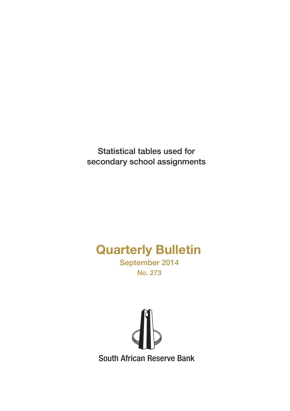Statistical tables used for secondary school assignments

# Quarterly Bulletin

September 2014 No. 273

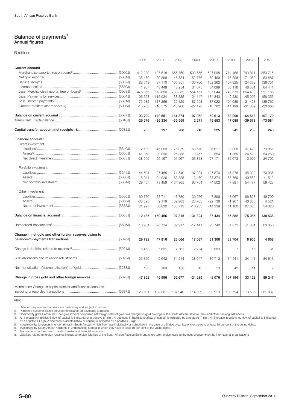#### Balance of payments<sup>1</sup> Annual figures

R millions

|                                                              | 2006     | 2007      | 2008      | 2009     | 2010      | 2011     | 2012      | 2013           |
|--------------------------------------------------------------|----------|-----------|-----------|----------|-----------|----------|-----------|----------------|
| <b>Current account</b>                                       |          |           |           |          |           |          |           |                |
|                                                              | 412 220  | 497 618   | 655 759   | 503 656  | 597 098   | 714 466  | 743 811   | 853 715        |
|                                                              | 35 470   | 39898     | 48 534    | 52 776   | 59 499    | 75 298   | 71 050    | 63 887         |
|                                                              | 82 643   | 97 110    | 105 351   | 100 760  | 102 362   | 107 825  | 124 332   | 136 751        |
|                                                              | 41 207   | 48 448    | 48 254    | 34 075   | 34 099    | 38 118   | 48 501    | 64 441         |
|                                                              | 476 966  | 573 850   | 739 852   | 554 161  | 607 044   | 742 679  | 854 439   | 991 186        |
|                                                              | 96 623   | 115 934   | 138 885   | 124 147  | 134 843   | 142 230  | 145 006   | 158 356        |
|                                                              | 75 982   | 117 266   | 122 129   | 87 593   | 87 022    | 104 689  | 121 428   | 135 765        |
|                                                              | $-15768$ | $-16575$  | $-18906$  | $-22428$ | $-16762$  | $-14199$ | $-31.369$ | $-30666$       |
|                                                              | $-93799$ | $-140551$ | $-161874$ | $-97062$ | $-52613$  | $-68090$ | -164 548  | $-197179$      |
|                                                              | $-29276$ | $-36334$  | $-35559$  | 2 2 7 1  | 49 553    | 47 085   | $-39578$  | $-73584$       |
|                                                              | 205      | 197       | 208       | 216      | 225       | 241      | 239       | 243            |
| Financial account <sup>4</sup>                               |          |           |           |          |           |          |           |                |
| Direct investment                                            |          |           |           |          |           |          |           |                |
|                                                              | 2 1 0 9  | 46 063    | 76 079    | 63 570   | 26 617    | 30 808   | 37 4 28   | 79 055         |
|                                                              | $-41058$ | $-20896$  | 25 888    | $-9757$  | 554       | 1865     | $-24528$  | $-54260$       |
|                                                              | $-38949$ | 25 167    | 101 967   | 53 813   | 27 171    | 32 673   | 12 900    | 24 795         |
| Portfolio investment                                         |          |           |           |          |           |          |           |                |
|                                                              | 144 501  | 97 485    | $-71540$  | 107 234  | 107 876   | 45 878   | 95 039    | 70 935         |
|                                                              | $-15044$ | $-24026$  | $-63325$  | $-13470$ | $-333374$ | -53 769  | $-40562$  | $-11512$       |
|                                                              | 129 457  | 73 459    | $-134865$ | 93 764   | 74 502    | $-7891$  | 54 477    | 59 4 23        |
| Other investment                                             |          |           |           |          |           |          |           |                |
|                                                              | 60 750   | 58711     | 47 730    | $-39996$ | 7899      | 43 067   | 66 828    | 49 799         |
|                                                              | $-38823$ | 2 1 1 9   | 82 983    | 23 703   | $-22138$  | $-1967$  | 40 860    | 4521           |
|                                                              | 21 927   | 60 830    | 130 713   | $-16253$ | $-14239$  | 41 100   | 107 688   | 54 320         |
|                                                              | 112 435  | 159 456   | 97 815    | 131 324  | 87 434    | 65 882   | 175 065   | 138 538        |
|                                                              | 10 951   | 28714     | 89 917    | $-17441$ | $-3740$   | 34 671   | $-1801$   | 63 056         |
| Change in net gold and other foreign reserves owing to       |          |           |           |          |           |          |           |                |
|                                                              | 29 7 9 2 | 47816     | 26 066    | 17 037   | 31 30 6   | 32 704   | 8955      | 4658           |
|                                                              | $-5453$  | $-7631$   | $-7761$   | $-2724$  | $-2683$   | 7        | 16        | $-31$          |
|                                                              | 23 350   | 5 6 4 2   | 74 214    | $-38647$ | $-30712$  | 74 441   | 24 141    | 84 613         |
|                                                              | 163      | 169       | 158       | 45       | 13        | 42       | 11        | $\overline{7}$ |
| Change in gross gold and other foreign reserves  (5023J)     | 47 852   | 45 996    | 92 677    | $-24289$ | $-2076$   | 107 194  | 33 1 23   | 89 247         |
| Memo item: Change in capital transfer and financial accounts | 123 591  | 188 367   | 187 940   | 114 099  | 83 919    | 100 794  | 173 503   | 201 837        |

KB501

1. Data for the previous four years are preliminary and subject to revision.<br>2. Published customs figures adjusted for balance-of-payments purposes.<br>3. Commodity gold. Before 1981 net gold expores comprines purposes.<br>4. An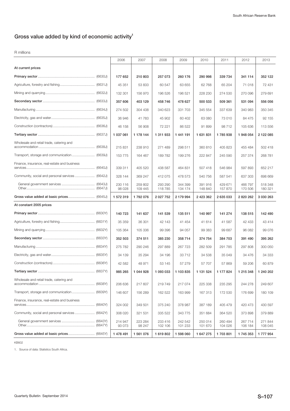# Gross value added by kind of economic activity $1$

R millions

|                                                 | 2006               | 2007               | 2008               | 2009               | 2010               | 2011               | 2012               | 2013               |
|-------------------------------------------------|--------------------|--------------------|--------------------|--------------------|--------------------|--------------------|--------------------|--------------------|
| At current prices                               |                    |                    |                    |                    |                    |                    |                    |                    |
|                                                 | 177 652            | 210 803            | 257 073            | 260 176            | 290 998            | 339 734            | 341 114            | 352 122            |
|                                                 | 45 351             | 53 833             | 60 547             | 63 655             | 62 768             | 65 204             | 71 018             | 72 431             |
|                                                 | 132 301            | 156 970            | 196 526            | 196 521            | 228 230            | 274 530            | 270 096            | 279 691            |
|                                                 | 357 606            | 403 129            | 458746             | 478 627            | 500 533            | 509 361            | 531 094            | 556 056            |
|                                                 | 274 502            | 304 438            | 340 623            | 331 703            | 345 554            | 337 639            | 340 983            | 350 345            |
|                                                 | 36 946             | 41 783             | 45 902             | 60 40 2            | 63 080             | 73 010             | 84 475             | 92 155             |
|                                                 | 46 158             | 56 908             | 72 221             | 86 522             | 91 899             | 98712              | 105 636            | 113 556            |
|                                                 | 1 037 061          | 1 178 144          | 1 311 933          | 1 441 191          | 1 631 831          | 1785938            | 1 948 054          | 2 122 085          |
| Wholesale and retail trade, catering and        | 215 831            | 238 910            | 271 489            | 298 511            | 360 810            | 405 823            | 455 484            | 502 418            |
|                                                 | 153 775            | 164 467            | 189782             | 199 276            | 222 847            | 245 590            | 257 374            | 268 781            |
| Finance, insurance, real-estate and business    | 339 311            | 405 520            | 438 587            | 464 831            | 507 418            | 546 984            | 597 893            | 652 217            |
|                                                 | 328 144            | 369 247            | 412 075            | 478 573            | 540 756            | 587 541            | 637 303            | 698 669            |
|                                                 | 230 116<br>98 0 28 | 259 802<br>109 445 | 293 290<br>118785  | 344 399<br>134 174 | 391 916<br>148 840 | 429 671<br>157870  | 466 797<br>170 506 | 518 348<br>180 321 |
|                                                 | 1 572 319          | 1792076            | 2 027 752          | 2 179 994          | 2 423 362          | 2 635 033          | 2 820 262          | 3 0 3 0 2 6 3      |
| At constant 2005 prices                         |                    |                    |                    |                    |                    |                    |                    |                    |
|                                                 | 140 723            | 141 637            | 141 539            | 135 511            | 140 997            | 141 274            | 138 515            | 142 490            |
|                                                 | 35 35 9            | 36 301             | 42 143             | 41 454             | 41 614             | 41 587             | 42 433             | 43 414             |
|                                                 | 105 364            | 105 336            | 99 396             | 94 057             | 99 383             | 99 687             | 96 082             | 99 076             |
|                                                 | 352 503            | 374 511            | 385 230            | 358 714            | 374 754            | 384 703            | 391 490            | 395 262            |
|                                                 | 275 782            | 290 246            | 297 889            | 267 723            | 282 509            | 291 785            | 297 808            | 300 050            |
|                                                 | 34 139             | 35 294             | 34 196             | 33712              | 34 538             | 35 049             | 34 476             | 34 333             |
|                                                 | 42 582             | 48 971             | 53 145             | 57 279             | 57 707             | 57869              | 59 206             | 60 879             |
|                                                 | 985 265            | 1 044 928          | 1 093 033          | 1 103 835          | 1 131 524          | 1 177 824          | 1 215 348          | 1 240 202          |
| Wholesale and retail trade, catering and        | 206 636            | 217 607            | 219749             | 217 074            | 225 338            | 235 295            | 244 278            | 249 607            |
|                                                 | 146 607            | 156 289            | 162 522            | 163 999            | 167 313            | 172 530            | 176 699            | 180 109            |
| Finance, insurance, real-estate and business    | 324 002            | 349 501            | 375 240            | 378 987            | 387 189            | 405 479            | 420 473            | 430 597            |
| Community, social and personal services (6642Y) | 308 020            | 321 531            | 335 522            | 343 775            | 351 684            | 364 520            | 373898             | 379 889            |
|                                                 | 214 947<br>93 073  | 223 284<br>98 247  | 233 416<br>102 106 | 242 542<br>101 233 | 250 014<br>101 670 | 260 494<br>104 026 | 267 714<br>106 184 | 271 844<br>108 045 |
|                                                 | 1 478 491          | 1 561 076          | 1 619 802          | 1 598 060          | 1 647 275          | 1703801            | 1745353            | 1777954            |

KB602

1. Source of data: Statistics South Africa.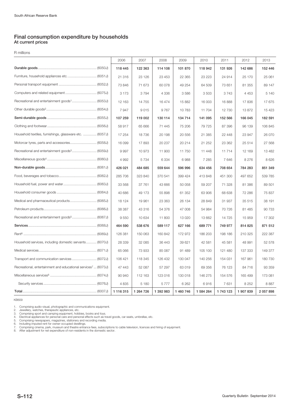# Final consumption expenditure by households At current prices

R millions

|                                                                           | 2006      | 2007      | 2008      | 2009      | 2010      | 2011    | 2012      | 2013      |
|---------------------------------------------------------------------------|-----------|-----------|-----------|-----------|-----------|---------|-----------|-----------|
|                                                                           | 118 445   | 122 363   | 114 108   | 101 870   | 118 942   | 131 926 | 142 686   | 152 446   |
| Furniture, household appliances etc.  (6051J)                             | 21 316    | 23 1 26   | 23 453    | 22 3 65   | 23 223    | 24 914  | 25 170    | 25 061    |
|                                                                           | 73 846    | 71 673    | 60 078    | 49 254    | 64 509    | 73 651  | 81 355    | 89 147    |
| Computers and related equipment  (6075J)                                  | 3 1 7 3   | 3794      | 4 3 3 6   | 3586      | 3 5 0 3   | 3743    | 4 4 5 3   | 5 1 4 0   |
| Recreational and entertainment goods <sup>1</sup> (6053J)                 | 12 163    | 14 755    | 16474     | 15 882    | 16 003    | 16888   | 17836     | 17 675    |
|                                                                           | 7947      | 9015      | 9767      | 10783     | 11 704    | 12730   | 13872     | 15 4 23   |
|                                                                           | 107 259   | 119 002   | 130 114   | 134 714   | 141 095   | 152 566 | 166 045   | 182 591   |
|                                                                           | 58 917    | 65 666    | 71 445    | 75 206    | 79 725    | 87 396  | 96 139    | 106 845   |
| Household textiles, furnishings, glassware etc.  (6057J)                  | 17 254    | 18736     | 20 198    | 20 556    | 21 385    | 22 448  | 23 947    | 26 070    |
|                                                                           | 16 099    | 17893     | 20 237    | 20 214    | 21 252    | 23 362  | 25 514    | 27 568    |
|                                                                           | 9997      | 10 973    | 11 900    | 11 750    | 11 448    | 11714   | 12 169    | 13 4 8 2  |
|                                                                           | 4 9 9 2   | 5 7 3 4   | 6 3 3 4   | 6988      | 7 2 8 5   | 7646    | 8 2 7 6   | 8 6 2 6   |
|                                                                           | 426 021   | 484 685   | 559 644   | 596 996   | 634 456   | 708 654 | 784 283   | 851 349   |
|                                                                           | 285 706   | 323 840   | 370 541   | 399 424   | 413 848   | 451 300 | 497 652   | 539 785   |
|                                                                           | 33 568    | 37 761    | 43 666    | 50 058    | 59 207    | 71 328  | 81 386    | 89 501    |
|                                                                           | 40 686    | 49 173    | 55 898    | 61 352    | 63 906    | 68 638  | 72 286    | 75 837    |
|                                                                           | 18 124    | 19 961    | 23 363    | 26 134    | 28 849    | 31 937  | 35 515    | 38 191    |
|                                                                           | 38 387    | 43 316    | 54 376    | 47 008    | 54 984    | 70 726  | 81 4 85   | 90 733    |
| Recreational and entertainment goods <sup>5</sup> (6067J)                 | 9550      | 10 634    | 11 800    | 13 0 20   | 13 662    | 14725   | 15 959    | 17 302    |
|                                                                           | 464 590   | 538 676   | 589 117   | 627 166   | 689 771   | 749 977 | 814 825   | 871 512   |
|                                                                           | 126 381   | 150 063   | 160 842   | 172 972   | 186 203   | 198 186 | 210 325   | 222 387   |
| Household services, including domestic servants (6070J)                   | 28 339    | 32 085    | 36 443    | 39 621    | 42 581    | 45 581  | 48 991    | 52 578    |
|                                                                           | 65 066    | 73 933    | 85 087    | 91 489    | 105 100   | 121 480 | 137 333   | 149 377   |
| Transport and communication services (6072J)                              | 106 421   | 118 345   | 126 432   | 130 047   | 140 256   | 154 031 | 167 961   | 180 730   |
| Recreational, entertainment and educational services <sup>7</sup> (6073J) | 47 443    | 52 087    | 57 297    | 63 019    | 69 356    | 76 123  | 84 716    | 93 359    |
|                                                                           | 90 940    | 112 163   | 123 016   | 130 018   | 146 275   | 154 576 | 165 499   | 173 081   |
|                                                                           | 4 8 3 5   | 5 1 8 0   | 5777      | 6 2 6 2   | 6916      | 7631    | 8 2 5 2   | 8887      |
|                                                                           | 1 116 315 | 1 264 726 | 1 392 983 | 1 460 746 | 1 584 264 | 1743123 | 1 907 839 | 2 057 898 |

KB609

1. Comprising audio-visual, photographic and communications equipment.<br>2. Jewellery, watches, therapeutic appliances, etc.<br>3. Comprising sport and camping equipment, hobbies, books and toys.<br>4. Electrical appliances for pe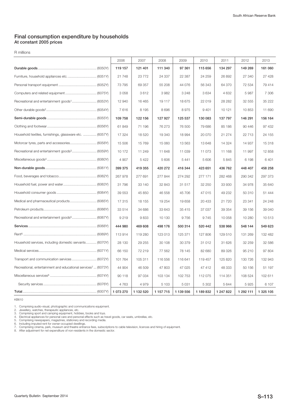## Final consumption expenditure by households At constant 2005 prices

R millions

|                                                                           | 2006      | 2007      | 2008          | 2009      | 2010      | 2011      | 2012      | 2013      |
|---------------------------------------------------------------------------|-----------|-----------|---------------|-----------|-----------|-----------|-----------|-----------|
|                                                                           | 119 157   | 121 401   | 111 340       | 97 361    | 115 656   | 134 297   | 149 269   | 161 060   |
| Furniture, household appliances etc.  (6051Y)                             | 21748     | 23772     | 24 337        | 22 387    | 24 259    | 26 892    | 27 340    | 27 4 28   |
|                                                                           | 73795     | 69 357    | 55 208        | 44 0 76   | 56 343    | 64 370    | 72 534    | 79 414    |
|                                                                           | 3058      | 3612      | 3982          | 3 2 4 8   | 3634      | 4 6 3 2   | 5987      | 7 3 0 6   |
|                                                                           | 12 940    | 16 4 65   | 19 117        | 18675     | 22 019    | 28 28 2   | 32 555    | 35 222    |
|                                                                           | 7616      | 8 1 9 5   | 8696          | 8975      | 9 4 0 1   | 10 121    | 10853     | 11 690    |
|                                                                           | 109758    | 122 156   | 127 927       | 125 537   | 130 083   | 137 797   | 146 291   | 156 164   |
|                                                                           | 61849     | 71 196    | 76 273        | 76 500    | 79 686    | 85 186    | 90 446    | 97 432    |
| Household textiles, furnishings, glassware etc.  (6057Y)                  | 17 324    | 18520     | 19 340        | 18 994    | 20 070    | 21 274    | 22 713    | 24 155    |
| Motorcar tyres, parts and accessories (6058Y)                             | 15 506    | 15769     | 15 060        | 13 5 63   | 13 648    | 14 3 24   | 14 9 37   | 15 318    |
|                                                                           | 10 172    | 11 249    | 11 648        | 11 039    | 11 073    | 11 168    | 11 997    | 12 858    |
|                                                                           | 4 9 0 7   | 5 4 2 2   | 5 60 6        | 5441      | 5 606     | 5845      | 6 1 9 8   | 6 4 0 1   |
|                                                                           | 399 375   | 419 355   | 420 272       | 416 344   | 423 651   | 436 762   | 448 407   | 458 258   |
|                                                                           | 267 978   | 277 691   | 277 844       | 274 292   | 277 171   | 282 468   | 290 342   | 297 373   |
|                                                                           | 31796     | 33 140    | 32 843        | 31517     | 32 250    | 33 930    | 34 978    | 35 640    |
|                                                                           | 39 553    | 45 850    | 46 558        | 45 706    | 47 015    | 49 232    | 50 310    | 51 444    |
| Medical and pharmaceutical products (6065Y)                               | 17315     | 18 155    | 19 254        | 19658     | 20 433    | 21 7 20   | 23 341    | 24 248    |
|                                                                           | 33514     | 34 686    | 33 643        | 35 415    | 37 037    | 39 354    | 39 156    | 39 040    |
|                                                                           | 9219      | 9833      | 10 130        | 9756      | 9745      | 10 058    | 10 280    | 10513     |
|                                                                           | 444 980   | 469 608   | 498 176       | 500 314   | 520 442   | 538 966   | 548 144   | 549 623   |
|                                                                           | 113 914   | 119 280   | 123 013       | 125 371   | 127 806   | 129 510   | 131 269   | 132 482   |
| Household services, including domestic servants (6070Y)                   | 28 130    | 29 255    | 30 108        | 30 379    | 31 012    | 31 626    | 32 259    | 32 586    |
|                                                                           | 66 150    | 72 219    | 77 562        | 78 145    | 82 680    | 89 326    | 95 210    | 97 804    |
|                                                                           | 101 764   | 105 311   | 116 556       | 116 641   | 119 457   | 125 820   | 130 726   | 132 943   |
| Recreational, entertainment and educational services <sup>7</sup> (6073Y) | 44 904    | 46 509    | 47 803        | 47 0 25   | 47 412    | 48 333    | 50 156    | 51 197    |
|                                                                           | 90 118    | 97 034    | 103 134       | 102 753   | 112 075   | 114 351   | 108 524   | 102 611   |
|                                                                           | 4763      | 4979      | 5 1 0 3       | 5 0 31    | 5 3 0 2   | 5 6 4 4   | 5925      | 6 107     |
|                                                                           | 1 073 270 | 1 132 520 | 1 1 5 7 7 1 5 | 1 139 556 | 1 189 832 | 1 247 822 | 1 292 111 | 1 325 105 |

KB610

1. Comprising audio-visual, photographic and communications equipment.<br>2. Jewellery, watches, therapeutic appliances, etc.<br>3. Comprising sport and camping equipment, hobbies, books and toys.<br>4. Electrical appliances for pe